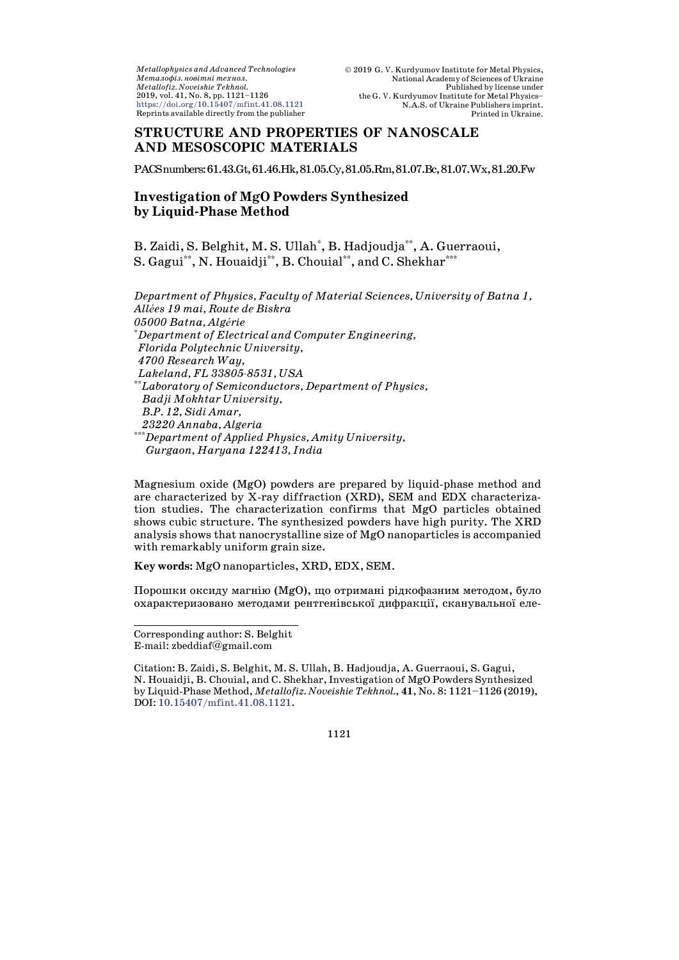$\label{thm:optimal} Metallophysics\ and\ Advanced\ Technologies$ Металофіз, новітні технол. Metallofiz. Noveishie Tekhnol. 2019, vol. 41, No. 8, pp. 1121-1126  $\text{https://doi.org/10.15407/mfint.41.08.1121}$ Reprints available directly from the publisher

# **STRUCTURE AND PROPERTIES OF NANOSCALE** AND MESOSCOPIC MATERIALS

PACSnumbers: 61.43.Gt, 61.46.Hk, 81.05.Cy, 81.05.Rm, 81.07.Bc, 81.07.Wx, 81.20.Fw

## **Investigation of MgO Powders Synthesized** by Liquid-Phase Method

B. Zaidi, S. Belghit, M. S. Ullah<sup>\*</sup>, B. Hadjoudja<sup>\*\*</sup>, A. Guerraoui, S. Gagui<sup>\*\*</sup>, N. Houaidji<sup>\*\*</sup>, B. Chouial<sup>\*\*</sup>, and C. Shekhar<sup>\*\*\*</sup>

Department of Physics, Faculty of Material Sciences, University of Batna 1, Allées 19 mai, Route de Biskra 05000 Batna, Algérie \*Department of Electrical and Computer Engineering, Florida Polytechnic University, 4700 Research Way, Lakeland, FL 33805-8531, USA \*\*Laboratory of Semiconductors, Department of Physics, Badji Mokhtar University, B.P. 12, Sidi Amar, 23220 Annaba, Algeria  $^*$ Department of Applied Physics, Amity University, Gurgaon, Haryana 122413, India

Magnesium oxide (MgO) powders are prepared by liquid-phase method and are characterized by X-ray diffraction (XRD), SEM and EDX characterization studies. The characterization confirms that MgO particles obtained shows cubic structure. The synthesized powders have high purity. The XRD analysis shows that nanocrystalline size of MgO nanoparticles is accompanied with remarkably uniform grain size.

Key words: MgO nanoparticles, XRD, EDX, SEM.

Порошки оксиду магнію (MgO), що отримані рідкофазним методом, було охарактеризовано методами рентгенівської дифракції, сканувальної еле-

<span id="page-0-0"></span>Corresponding author: S. Belghit E-mail:  $z$ beddiaf@gmail.com

Citation: B. Zaidi, S. Belghit, M. S. Ullah, B. Hadjoudja, A. Guerraoui, S. Gagui, N. Houaidji, B. Chouial, and C. Shekhar, Investigation of MgO Powders Synthesized by Liquid-Phase Method, Metallofiz. Noveishie Tekhnol., 41, No. 8: 1121-1126 (2019), DOI: 10.15407/mfint.41.08.1121.

1121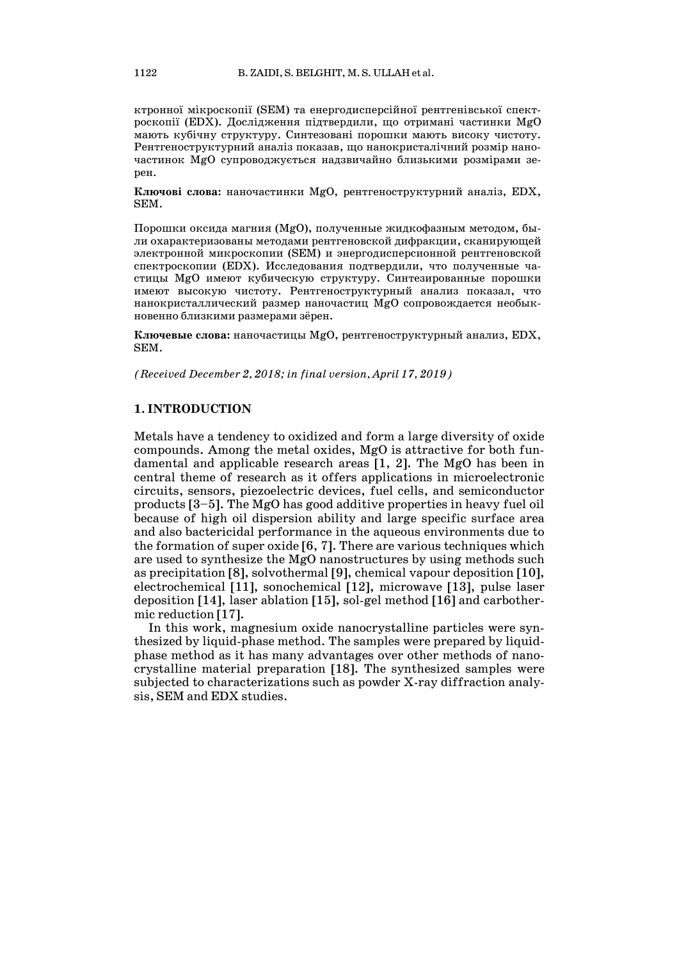ктронної мікроскопії (SEM) та енергодисперсійної рентгенівської спектроскопії (EDX). Дослідження підтвердили, що отримані частинки MgO мають кубічну структуру. Синтезовані порошки мають високу чистоту. Рентгеноструктурний аналіз показав, що нанокристалічний розмір наночастинок MgO супроводжується надзвичайно близькими розмірами зерен.

**Ключові слова:** наночастинки MgO, рентгеноструктурний аналіз, EDX, SEM.

Порошки оксида магния (MgO), полученные жидкофазным методом, были охарактеризованы методами рентгеновской дифракции, сканирующей электронной микроскопии (SEM) и энергодисперсионной рентгеновской спектроскопии (EDX). Исследования подтвердили, что полученные частицы MgO имеют кубическую структуру. Синтезированные порошки имеют высокую чистоту. Рентгеноструктурный анализ показал, что нанокристаллический размер наночастиц MgO сопровождается необыкновенно близкими размерами зёрен.

**Ключевые слова:** наночастицы MgO, рентгеноструктурный анализ, EDX, SEM.

*(Received December 2, 2018; in final version, April 17, 2019)*

### **1. INTRODUCTION**

Metals have a tendency to oxidized and form a large diversity of oxide compounds. Among the metal oxides, MgO is attractive for both fundamental and applicable research areas [1, 2]. The MgO has been in central theme of research as it offers applications in microelectronic circuits, sensors, piezoelectric devices, fuel cells, and semiconductor products [3–5]. The MgO has good additive properties in heavy fuel oil because of high oil dispersion ability and large specific surface area and also bactericidal performance in the aqueous environments due to the formation of super oxide [6, 7]. There are various techniques which are used to synthesize the MgO nanostructures by using methods such as precipitation [8], solvothermal [9], chemical vapour deposition [10], electrochemical [11], sonochemical [12], microwave [13], pulse laser deposition [14], laser ablation [15], sol-gel method [16] and carbothermic reduction [17].

In this work, magnesium oxide nanocrystalline particles were synthesized by liquid-phase method. The samples were prepared by liquidphase method as it has many advantages over other methods of nanocrystalline material preparation [18]. The synthesized samples were subjected to characterizations such as powder X-ray diffraction analysis, SEM and EDX studies.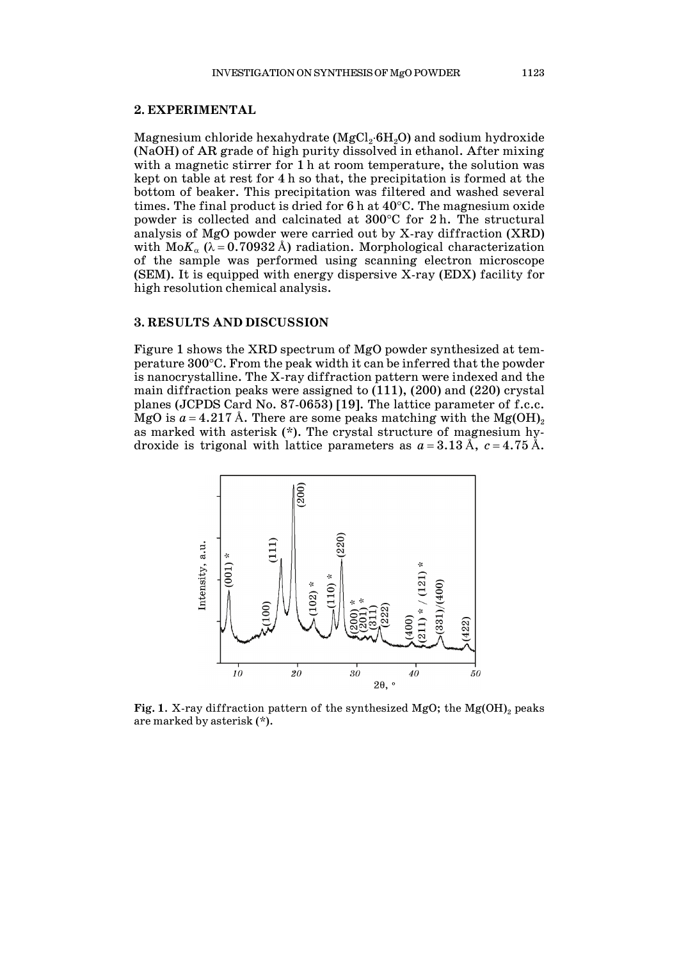Magnesium chloride hexahydrate (MgCl<sub>2</sub>⋅6H<sub>2</sub>O) and sodium hydroxide (NaOH) of AR grade of high purity dissolved in ethanol. After mixing with a magnetic stirrer for 1 h at room temperature, the solution was kept on table at rest for 4 h so that, the precipitation is formed at the bottom of beaker. This precipitation was filtered and washed several times. The final product is dried for 6 h at 40°C. The magnesium oxide powder is collected and calcinated at 300°C for 2 h. The structural analysis of MgO powder were carried out by X-ray diffraction (XRD) with  $M \circ K_\alpha$  ( $\lambda = 0.70932$  Å) radiation. Morphological characterization of the sample was performed using scanning electron microscope (SEM). It is equipped with energy dispersive X-ray (EDX) facility for high resolution chemical analysis.

#### **3. RESULTS AND DISCUSSION**

Figure 1 shows the XRD spectrum of MgO powder synthesized at temperature 300°C. From the peak width it can be inferred that the powder is nanocrystalline. The X-ray diffraction pattern were indexed and the main diffraction peaks were assigned to (111), (200) and (220) crystal planes (JCPDS Card No. 87-0653) [19]. The lattice parameter of f.c.c. MgO is  $a = 4.217 \text{ Å}$ . There are some peaks matching with the Mg(OH)<sub>2</sub> as marked with asterisk (\*). The crystal structure of magnesium hydroxide is trigonal with lattice parameters as  $a = 3.13 \text{ Å}$ ,  $c = 4.75 \text{ Å}$ .



**Fig. 1.** X-ray diffraction pattern of the synthesized MgO; the Mg(OH)<sub>2</sub> peaks are marked by asterisk (\*).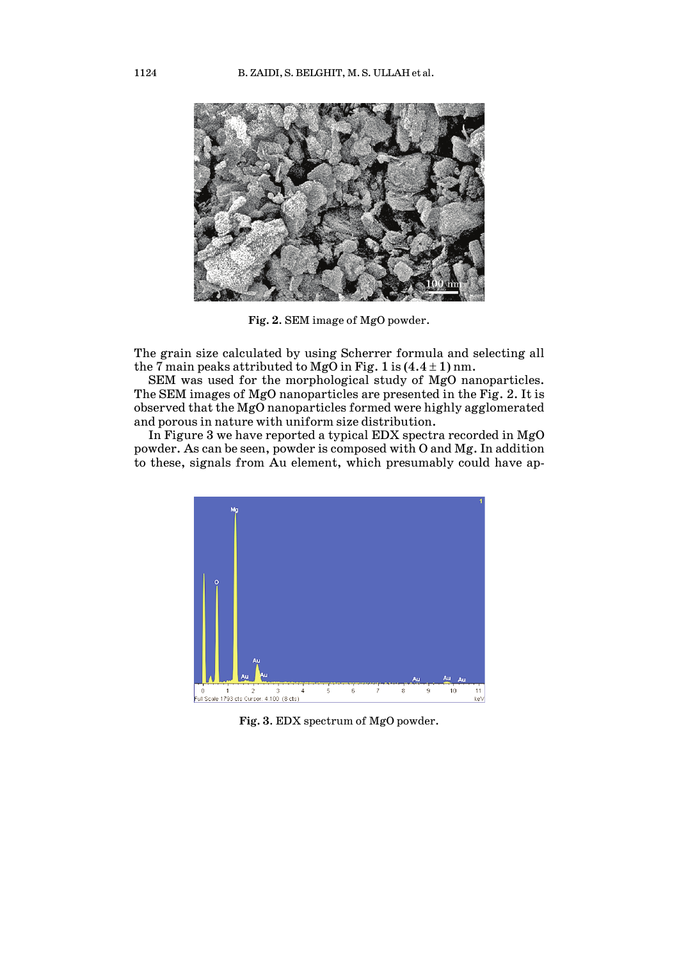

**Fig. 2**. SEM image of MgO powder.

The grain size calculated by using Scherrer formula and selecting all the 7 main peaks attributed to MgO in Fig. 1 is  $(4.4 \pm 1)$  nm.

SEM was used for the morphological study of MgO nanoparticles. The SEM images of MgO nanoparticles are presented in the Fig. 2. It is observed that the MgO nanoparticles formed were highly agglomerated and porous in nature with uniform size distribution.

In Figure 3 we have reported a typical EDX spectra recorded in MgO powder. As can be seen, powder is composed with O and Mg. In addition to these, signals from Au element, which presumably could have ap-



**Fig. 3**. EDX spectrum of MgO powder.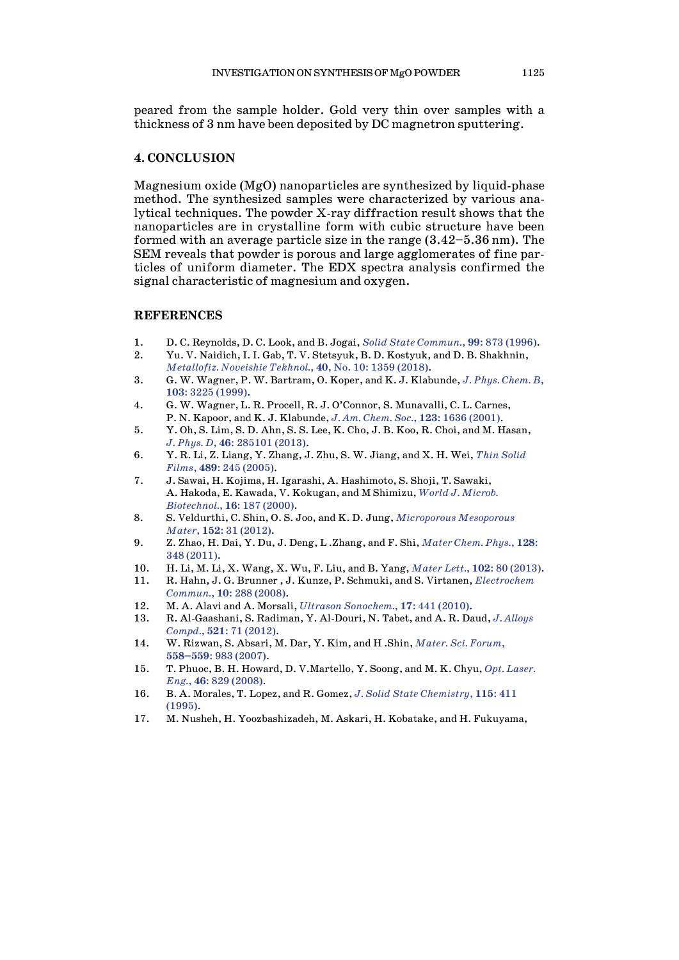peared from the sample holder. Gold very thin over samples with a thickness of 3 nm have been deposited by DC magnetron sputtering.

### **4. CONCLUSION**

Magnesium oxide (MgO) nanoparticles are synthesized by liquid-phase method. The synthesized samples were characterized by various analytical techniques. The powder X-ray diffraction result shows that the nanoparticles are in crystalline form with cubic structure have been formed with an average particle size in the range (3.42–5.36 nm). The SEM reveals that powder is porous and large agglomerates of fine particles of uniform diameter. The EDX spectra analysis confirmed the signal characteristic of magnesium and oxygen.

#### **REFERENCES**

- 1. D. C. Reynolds, D. C. Look, and B. Jogai, *Solid State [Commun.](https://doi.org/10.1016/0038-1098(96)00340-7)*, **99**: 873 (1996).
- 2. Yu. V. Naidich, I. I. Gab, T. V. Stetsyuk, B. D. Kostyuk, and D. B. Shakhnin, *[Metallofiz.](https://doi.org/10.15407/mfint.40.10.1359) Noveishie Tekhnol.*, **40**, No. 10: 1359 (2018).
- 3. G. W. Wagner, P. W. Bartram, O. Koper, and K. J. Klabunde, *J. Phys. [Chem.](https://doi.org/10.1021/jp984689u) B*, **103**: 3225 [\(1999\).](https://doi.org/10.1021/jp984689u)
- 4. G. W. Wagner, L. R. Procell, R. J. O'Connor, S. Munavalli, C. L. Carnes, P. N. Kapoor, and K. J. Klabunde, *J. Am. Chem. Soc.*, **123**: 1636 [\(2001\).](https://doi.org/10.1021/ja003518b)
- 5. Y. Oh, S. Lim, S. D. Ahn, S. S. Lee, K. Cho, J. B. Koo, R. Choi, and M. Hasan, *J. Phys. D*, **46**: [285101](https://doi.org/10.1088/0022-3727/46/28/285101) (2013).
- 6. Y. R. Li, Z. Liang, Y. Zhang, J. Zhu, S. W. Jiang, and X. H. Wei, *Thin [Solid](https://doi.org/10.1016/j.tsf.2005.04.095) Films*, **489**: 245 [\(2005\).](https://doi.org/10.1016/j.tsf.2005.04.095)
- 7. J. Sawai, H. Kojima, H. Igarashi, A. Hashimoto, S. Shoji, T. Sawaki, A. Hakoda, E. Kawada, V. Kokugan, and M Shimizu, *World J. [Microb.](https://doi.org/10.1023/A:1008916209784) [Biotechnol.](https://doi.org/10.1023/A:1008916209784)*, **16**: 187 (2000).
- 8. S. Veldurthi, C. Shin, O. S. Joo, and K. D. Jung, *[Microporous](https://doi.org/10.1016/j.micromeso.2011.11.044) Mesoporous Mater*, **152**: 31 [\(2012\).](https://doi.org/10.1016/j.micromeso.2011.11.044)
- 9. Z. Zhao, H. Dai, Y. Du, J. Deng, L .Zhang, and F. Shi, *[Mater](https://doi.org/10.1016/j.matchemphys.2011.02.073) Chem. Phys.*, **128**: 348 [\(2011\).](https://doi.org/10.1016/j.matchemphys.2011.02.073)
- 10. H. Li, M. Li, X. Wang, X. Wu, F. Liu, and B. Yang, *Mater Lett.*, **102**: 80 [\(2013\).](https://doi.org/10.1016/j.matlet.2013.03.118)
- 11. R. Hahn, J. G. Brunner , J. Kunze, P. Schmuki, and S. Virtanen, *[Electrochem](https://doi.org/10.1016/j.elecom.2007.12.007) [Commun.](https://doi.org/10.1016/j.elecom.2007.12.007)*, **10**: 288 (2008).
- 12. M. A. Alavi and A. Morsali, *Ultrason [Sonochem.](https://doi.org/10.1016/j.ultsonch.2009.08.013)*, **17**: 441 (2010).
- 13. R. Al-Gaashani, S. Radiman, Y. Al-Douri, N. Tabet, and A. R. Daud, *J. [Alloys](https://doi.org/10.1016/j.jallcom.2012.01.045) [Compd.](https://doi.org/10.1016/j.jallcom.2012.01.045)*, **521**: 71 (2012).
- 14. W. Rizwan, S. Absari, M. Dar, Y. Kim, and H .Shin, *[Mater.](https://doi.org/10.4028/www.scientific.net/MSF.558-559.983) Sci. Forum*, **[558–559](https://doi.org/10.4028/www.scientific.net/MSF.558-559.983)**: 983 (2007).
- 15. T. Phuoc, B. H. Howard, D. V.Martello, Y. Soong, and M. K. Chyu, *Opt. [Laser.](https://doi.org/10.1016/j.optlaseng.2008.05.018) Eng.*, **46**: 829 [\(2008\).](https://doi.org/10.1016/j.optlaseng.2008.05.018)
- 16. B. A. Morales, T. Lopez, and R. Gomez, *J. Solid State [Chemistry](https://doi.org/10.1006/jssc.1995.1152)*, **115**: 411 [\(1995\).](https://doi.org/10.1006/jssc.1995.1152)
- 17. M. Nusheh, H. Yoozbashizadeh, M. Askari, H. Kobatake, and H. Fukuyama,